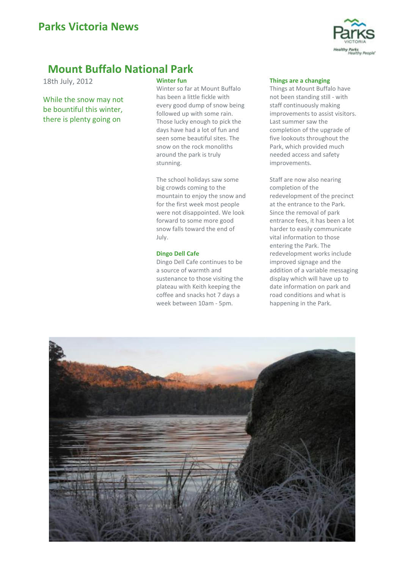

# **Mount Buffalo National Park**

18th July, 2012

While the snow may not be bountiful this winter, there is plenty going on

## **Winter fun**

Winter so far at Mount Buffalo has been a little fickle with every good dump of snow being followed up with some rain. Those lucky enough to pick the days have had a lot of fun and seen some beautiful sites. The snow on the rock monoliths around the park is truly stunning.

The school holidays saw some big crowds coming to the mountain to enjoy the snow and for the first week most people were not disappointed. We look forward to some more good snow falls toward the end of July.

## **Dingo Dell Cafe**

Dingo Dell Cafe continues to be a source of warmth and sustenance to those visiting the plateau with Keith keeping the coffee and snacks hot 7 days a week between 10am - 5pm.

### **Things are a changing**

Things at Mount Buffalo have not been standing still - with staff continuously making improvements to assist visitors. Last summer saw the completion of the upgrade of five lookouts throughout the Park, which provided much needed access and safety improvements.

Staff are now also nearing completion of the redevelopment of the precinct at the entrance to the Park. Since the removal of park entrance fees, it has been a lot harder to easily communicate vital information to those entering the Park. The redevelopment works include improved signage and the addition of a variable messaging display which will have up to date information on park and road conditions and what is happening in the Park.